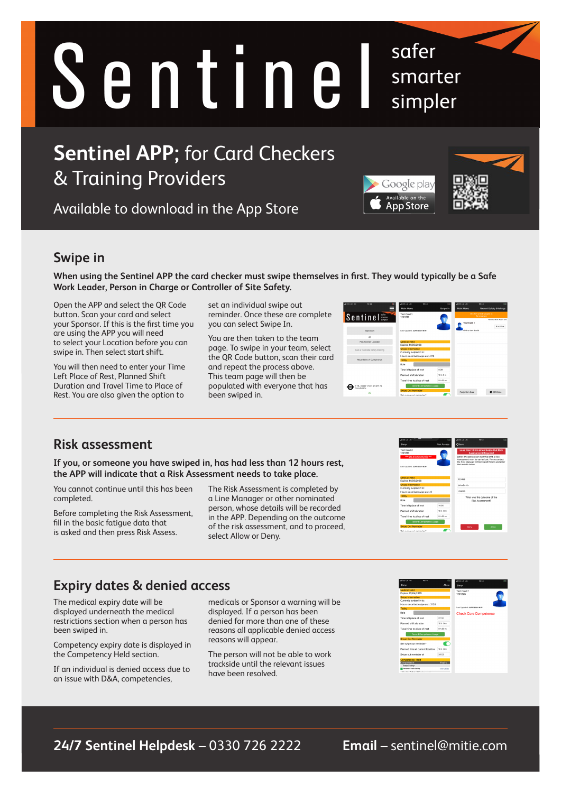# Sentinel

# **Sentinel APP;** for Card Checkers & Training Providers

Available to download in the App Store

## **Swipe in**

**When using the Sentinel APP the card checker must swipe themselves in first. They would typically be a Safe Work Leader, Person in Charge or Controller of Site Safety.**

Open the APP and select the QR Code button. Scan your card and select your Sponsor. If this is the first time you are using the APP you will need to select your Location before you can swipe in. Then select start shift.

You will then need to enter your Time Left Place of Rest, Planned Shift Duration and Travel Time to Place of Rest. You are also given the option to

set an individual swipe out reminder. Once these are complete you can select Swipe In.

You are then taken to the team page. To swipe in your team, select the QR Code button, scan their card and repeat the process above. This team page will then be populated with everyone that has been swiped in.

| ALCO-UK 40<br>10:46                        | ALCO-UK 40<br>10:48                                    |                                | ALCO-UK 40                             | 10:48<br>m.                     |
|--------------------------------------------|--------------------------------------------------------|--------------------------------|----------------------------------------|---------------------------------|
| ᆯ                                          | Main Menu                                              | Swipe In                       | Main Menu                              | Record Safety Briefings         |
| Sentinel <sup>sies</sup>                   | Test Card 1<br>1201317                                 |                                | On shift with 0 people at<br>Rimingham |                                 |
|                                            |                                                        | 1                              | <b>Test Card 1</b>                     | <b>Discount Mode Moura Left</b> |
| <b>Reart Rivide</b>                        | Last Undated: 22/07/2020 10:46                         |                                | Click to view details                  | 9h45m                           |
| or                                         |                                                        |                                |                                        |                                 |
| Pick Another Location                      | Medical Held<br>Expires 14/09/2028                     |                                |                                        |                                 |
| Give a Trackside Safety Briefing           | <b>Swine Information</b><br>Currently swiped in to:    |                                |                                        |                                 |
| Record Use of Competence                   | Hours since last swipe out : 213                       |                                |                                        |                                 |
|                                            | Today                                                  |                                |                                        |                                 |
|                                            | Role                                                   |                                |                                        |                                 |
|                                            | Time left place of rest                                | 8:30                           |                                        |                                 |
|                                            | Planned shift duration                                 | 33 h 0 m                       |                                        |                                 |
|                                            | Travel time to place of rest                           | 0 <sub>b</sub> 30 <sub>m</sub> |                                        |                                 |
| TR. elease Therk a Can't via<br>se submenu | Record Competence Usage                                |                                |                                        |                                 |
| 30                                         | <b>Swipe Cut Reminder</b><br>Cost cusing out reminder? |                                | Forgotten Card                         | <b>B</b> OR Code                |

safer

smarter

simpler

Google play Available on the **App Store** 

#### **Risk assessment**

**If you, or someone you have swiped in, has had less than 12 hours rest, the APP will indicate that a Risk Assessment needs to take place.** 

You cannot continue until this has been completed.

Before completing the Risk Assessment, fill in the basic fatigue data that is asked and then press Risk Assess.

The Risk Assessment is completed by a Line Manager or other nominated person, whose details will be recorded in the APP. Depending on the outcome of the risk assessment, and to proceed, select Allow or Deny.

# **Expiry dates & denied access**

The medical expiry date will be displayed underneath the medical restrictions section when a person has been swiped in.

Competency expiry date is displayed in the Competency Held section.

If an individual is denied access due to an issue with D&A, competencies,

medicals or Sponsor a warning will be displayed. If a person has been denied for more than one of these reasons all applicable denied access reasons will appear.

The person will not be able to work trackside until the relevant issues have been resolved.